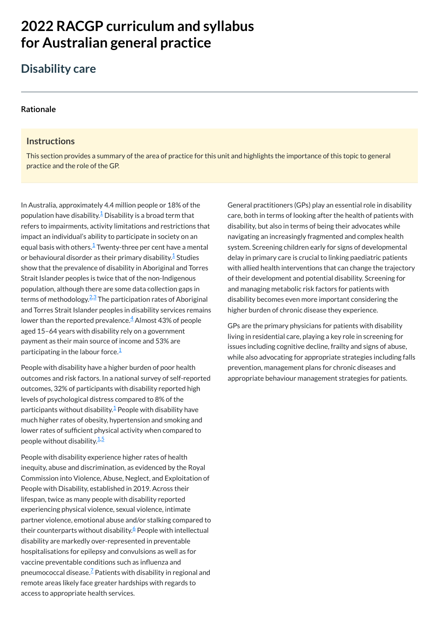# **2022 RACGP curriculum and syllabus for Australian [general practice](https://www.racgp.org.au/Curriculum-and-Syllabus/home)**

# **Disability care**

#### **[Rationale](javascript:void(0))**

#### **Instructions**

In Australia, approximately 4.4 million people or 18% of the population have disability. $\frac{1}{2}$  $\frac{1}{2}$  $\frac{1}{2}$  Disability is a broad term that refers to impairments, activity limitations and restrictions that impact an individual's ability to participate in society on an equal basis with others. $^{\underline{1}}$  $^{\underline{1}}$  $^{\underline{1}}$  Twenty-three per cent have a mental or behavioural disorder as their primary disability. $^{\underline 1}$  $^{\underline 1}$  $^{\underline 1}$  Studies show that the prevalence of disability in Aboriginal and Torres Strait Islander peoples is twice that of the non-Indigenous population, although there are some data collection gaps in terms of methodology.<sup>[2,](#page-1-1)[3](#page-1-2)</sup> The participation rates of Aboriginal and Torres Strait Islander peoples in disability services remains lower than the reported prevalence. $\frac{4}{5}$  $\frac{4}{5}$  $\frac{4}{5}$  Almost 43% of people aged 15–64 years with disability rely on a government payment as their main source of income and 53% are participating in the labour force. $^{\underline 1}$  $^{\underline 1}$  $^{\underline 1}$ 

This section provides a summary of the area of practice for this unit and highlights the importance of this topic to general practice and the role of the GP.

People with disability have a higher burden of poor health outcomes and risk factors. In a national survey of self-reported outcomes, 32% of participants with disability reported high levels of psychological distress compared to 8% of the participants without disability. $\frac{1}{2}$  $\frac{1}{2}$  $\frac{1}{2}$  People with disability have much higher rates of obesity, hypertension and smoking and lower rates of sufficient physical activity when compared to people without disability.<sup>[1,](#page-1-0)[5](#page-1-4)</sup>

People with disability experience higher rates of health inequity, abuse and discrimination, as evidenced by the Royal

Commission into Violence, Abuse, Neglect, and Exploitation of People with Disability, established in 2019. Across their lifespan, twice as many people with disability reported experiencing physical violence, sexual violence, intimate partner violence, emotional abuse and/or stalking compared to their counterparts without disability.<sup>[6](#page-1-5)</sup> People with intellectual disability are markedly over-represented in preventable hospitalisations for epilepsy and convulsions as well as for vaccine preventable conditions such as influenza and pneumococcal disease. $\frac{7}{5}$  $\frac{7}{5}$  $\frac{7}{5}$  Patients with disability in regional and remote areas likely face greater hardships with regards to access to appropriate health services.

General practitioners (GPs) play an essential role in disability care, both in terms of looking after the health of patients with disability, but also in terms of being their advocates while navigating an increasingly fragmented and complex health system. Screening children early for signs of developmental delay in primary care is crucial to linking paediatric patients with allied health interventions that can change the trajectory of their development and potential disability. Screening for and managing metabolic risk factors for patients with disability becomes even more important considering the higher burden of chronic disease they experience.

GPs are the primary physicians for patients with disability living in residential care, playing a key role in screening for issues including cognitive decline, frailty and signs of abuse, while also advocating for appropriate strategies including falls prevention, management plans for chronic diseases and appropriate behaviour management strategies for patients.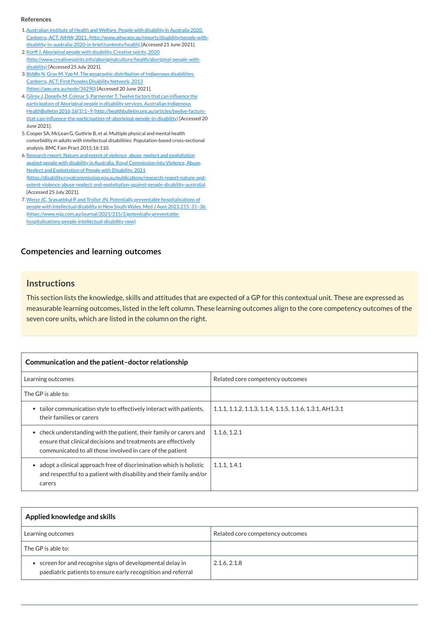## **[Competencies and learning outcomes](javascript:void(0))**

#### **Instructions**

This section lists the knowledge, skills and attitudes that are expected of a GP for this contextual unit. These are expressed as measurable learning outcomes, listed in the left column. These learning outcomes align to the core competency outcomes of the seven core units, which are listed in the column on the right.

| Communication and the patient-doctor relationship                                                                                                                                                           |                                                          |
|-------------------------------------------------------------------------------------------------------------------------------------------------------------------------------------------------------------|----------------------------------------------------------|
| Learning outcomes                                                                                                                                                                                           | Related core competency outcomes                         |
| The GP is able to:                                                                                                                                                                                          |                                                          |
| tailor communication style to effectively interact with patients,<br>their families or carers                                                                                                               | 1.1.1, 1.1.2, 1.1.3, 1.1.4, 1.1.5, 1.1.6, 1.3.1, AH1.3.1 |
| check understanding with the patient, their family or carers and<br>$\bullet$<br>ensure that clinical decisions and treatments are effectively<br>communicated to all those involved in care of the patient | 1.1.6, 1.2.1                                             |
| adopt a clinical approach free of discrimination which is holistic                                                                                                                                          | 1.1.1, 1.4.1                                             |

#### and respectful to a patient with disability and their family and/or carers

| Applied knowledge and skills                                                                                               |                                  |
|----------------------------------------------------------------------------------------------------------------------------|----------------------------------|
| Learning outcomes                                                                                                          | Related core competency outcomes |
| The GP is able to:                                                                                                         |                                  |
| • screen for and recognise signs of developmental delay in<br>paediatric patients to ensure early recognition and referral | 2.1.6, 2.1.8                     |

#### **References**

- <span id="page-1-0"></span>1. Australian Institute of Health and Welfare. People with disability in Australia 2020. Canberra, ACT: AIHW, 2021. [\(http://www.aihw.gov.au/reports/disability/people-with](http://www.aihw.gov.au/reports/disability/people-with-disability-in-australia-2020-in-brief/contents/health)disability-in-australia-2020-in-brief/contents/health) [Accessed 21 June 2021].
- <span id="page-1-1"></span>2. Korff J. Aboriginal people with disability. Creative spirits, 2020 [\(http://www.creativespirits.info/aboriginalculture/health/aboriginal-people-with](http://www.creativespirits.info/aboriginalculture/health/aboriginal-people-with-disability)disability) [Accessed 25 July 2021].
- <span id="page-1-2"></span>3.Biddle N, Gray M, Yap M. The geographic distribution of Indigenous disabilities. Canberra, ACT: First Peoples Disability Network, 2013 [\(https://apo.org.au/node/34290\)](https://apo.org.au/node/34290) [Accessed 20 June 2021].
- <span id="page-1-3"></span>4. Gilroy J, Donelly M, Colmar S, Parmenter T. Twelve factors that can influence the participation of Aboriginal people in disability services. Australian Indigenous HealthBulletin 2016;16(1):1–9 (http://healthbulletin.org.au/articles/twelve-factors[that-can-influence-the-participation-of-aboriginal-people-in-disability\)](http://healthbulletin.org.au/articles/twelve-factors-that-can-influence-the-participation-of-aboriginal-people-in-disability) [Accessed 20 June 2021].
- <span id="page-1-4"></span>5.Cooper SA, McLean G, Guthrie B, et al. Multiple physical and mental health comorbidity in adults with intellectual disabilities: Population-based cross-sectional analysis. BMC Fam Pract 2015;16:110.
- <span id="page-1-5"></span>6. Research report: Nature and extent of violence, abuse, neglect and exploitation against people with disability in Australia. Royal Commission into Violence, Abuse, Neglect and Exploitation of People with Disability. 2021 [\(https://disability.royalcommission.gov.au/publications/research-report-nature-and](https://disability.royalcommission.gov.au/publications/research-report-nature-and-extent-violence-abuse-neglect-and-exploitation-against-people-disability-australia)extent-violence-abuse-neglect-and-exploitation-against-people-disability-australia) [Accessed 25 July 2021].
- <span id="page-1-6"></span>7. Weise JC, Srasuebkul P. and Trollor JN. Potentially preventable hospitalisations of people with intellectual disability in New South Wales. Med J Aust 2021;215: 31-36. [\(https://www.mja.com.au/journal/2021/215/1/potentially-preventable](https://www.mja.com.au/journal/2021/215/1/potentially-preventable-hospitalisations-people-intellectual-disability-new)hospitalisations-people-intellectual-disability-new)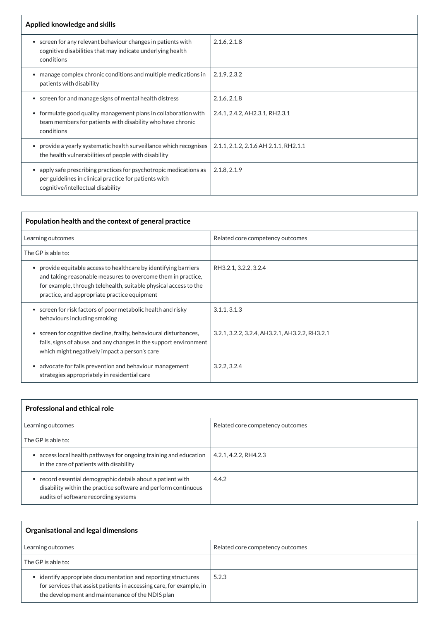| Applied knowledge and skills                                                                                                                                                |                                       |
|-----------------------------------------------------------------------------------------------------------------------------------------------------------------------------|---------------------------------------|
| screen for any relevant behaviour changes in patients with<br>cognitive disabilities that may indicate underlying health<br>conditions                                      | 2.1.6, 2.1.8                          |
| manage complex chronic conditions and multiple medications in<br>patients with disability                                                                                   | 2.1.9, 2.3.2                          |
| • screen for and manage signs of mental health distress                                                                                                                     | 2.1.6, 2.1.8                          |
| • formulate good quality management plans in collaboration with<br>team members for patients with disability who have chronic<br>conditions                                 | 2.4.1, 2.4.2, AH2.3.1, RH2.3.1        |
| provide a yearly systematic health surveillance which recognises<br>$\bullet$<br>the health vulnerabilities of people with disability                                       | 2.1.1, 2.1.2, 2.1.6 AH 2.1.1, RH2.1.1 |
| apply safe prescribing practices for psychotropic medications as<br>$\bullet$<br>per guidelines in clinical practice for patients with<br>cognitive/intellectual disability | 2.1.8, 2.1.9                          |

| Population health and the context of general practice                                                                                                                                                                                              |                                                |  |
|----------------------------------------------------------------------------------------------------------------------------------------------------------------------------------------------------------------------------------------------------|------------------------------------------------|--|
| Learning outcomes                                                                                                                                                                                                                                  | Related core competency outcomes               |  |
| The GP is able to:                                                                                                                                                                                                                                 |                                                |  |
| provide equitable access to healthcare by identifying barriers<br>and taking reasonable measures to overcome them in practice,<br>for example, through telehealth, suitable physical access to the<br>practice, and appropriate practice equipment | RH3.2.1, 3.2.2, 3.2.4                          |  |
| • screen for risk factors of poor metabolic health and risky<br>behaviours including smoking                                                                                                                                                       | 3.1.1, 3.1.3                                   |  |
| • screen for cognitive decline, frailty, behavioural disturbances,<br>falls, signs of abuse, and any changes in the support environment<br>which might negatively impact a person's care                                                           | 3.2.1, 3.2.2, 3.2.4, AH3.2.1, AH3.2.2, RH3.2.1 |  |
| advocate for falls prevention and behaviour management<br>strategies appropriately in residential care                                                                                                                                             | 3.2.2, 3.2.4                                   |  |

| <b>Professional and ethical role</b>                                                                       |                                  |
|------------------------------------------------------------------------------------------------------------|----------------------------------|
| Learning outcomes                                                                                          | Related core competency outcomes |
| The GP is able to:                                                                                         |                                  |
| access local health pathways for ongoing training and education<br>in the care of patients with disability | 4.2.1, 4.2.2, RH4.2.3            |

| record essential demographic details about a patient with      | 4.4.2 |
|----------------------------------------------------------------|-------|
| disability within the practice software and perform continuous |       |
| audits of software recording systems                           |       |

| Organisational and legal dimensions                                                                                                                                                       |                                  |
|-------------------------------------------------------------------------------------------------------------------------------------------------------------------------------------------|----------------------------------|
| Learning outcomes                                                                                                                                                                         | Related core competency outcomes |
| The GP is able to:                                                                                                                                                                        |                                  |
| • identify appropriate documentation and reporting structures<br>for services that assist patients in accessing care, for example, in<br>the development and maintenance of the NDIS plan | 5.2.3                            |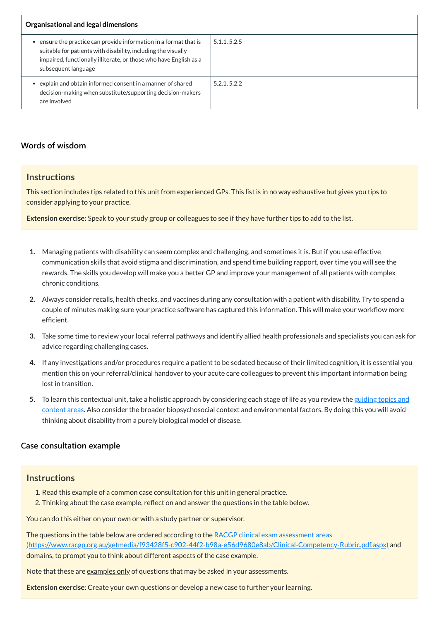| Organisational and legal dimensions                                                                                                                                                                                          |              |
|------------------------------------------------------------------------------------------------------------------------------------------------------------------------------------------------------------------------------|--------------|
| ensure the practice can provide information in a format that is<br>suitable for patients with disability, including the visually<br>impaired, functionally illiterate, or those who have English as a<br>subsequent language | 5.1.1, 5.2.5 |
| explain and obtain informed consent in a manner of shared<br>decision-making when substitute/supporting decision-makers<br>are involved                                                                                      | 5.2.1, 5.2.2 |

# **[Words of wisdom](javascript:void(0))**

## **Instructions**

This section includes tips related to this unit from experienced GPs. This list is in no way exhaustive but gives you tips to consider applying to your practice.

**Extension exercise:** Speak to your study group or colleagues to see if they have further tips to add to the list.

The questions in the table below are ordered according to the RACGP clinical exam assessment areas [\(https://www.racgp.org.au/getmedia/f93428f5-c902-44f2-b98a-e56d9680e8ab/Clinical-Competency-Rubric.pdf.aspx\)](https://www.racgp.org.au/getmedia/f93428f5-c902-44f2-b98a-e56d9680e8ab/Clinical-Competency-Rubric.pdf.aspx) and domains, to prompt you to think about different aspects of the case example.

Note that these are examples only of questions that may be asked in your assessments.

- **1.** Managing patients with disability can seem complex and challenging, and sometimes it is. But if you use effective communication skills that avoid stigma and discrimination, and spend time building rapport, over time you will see the rewards. The skills you develop will make you a better GP and improve your management of all patients with complex chronic conditions.
- **2.** Always consider recalls, health checks, and vaccines during any consultation with a patient with disability. Try to spend a couple of minutes making sure your practice software has captured this information. This will make your workflow more efficient.
- **3.** Take some time to review your local referral pathways and identify allied health professionals and specialists you can ask for advice regarding challenging cases.
- **4.** If any investigations and/or procedures require a patient to be sedated because of their limited cognition, it is essential you mention this on your referral/clinical handover to your acute care colleagues to prevent this important information being lost in transition.
- **5.** To learn this contextual unit, take a holistic approach by considering each stage of life as you review the guiding topics and content areas. Also consider the broader [biopsychosocial](#page-8-0) context and environmental factors. By doing this you will avoid thinking about disability from a purely biological model of disease.

# **[Case consultation example](javascript:void(0))**

#### **Instructions**

1. Read this example of a common case consultation for this unit in general practice.

2. Thinking about the case example, reflect on and answer the questions in the table below.

You can do this either on your own or with a study partner or supervisor.

**Extension exercise**: Create your own questions or develop a new case to further your learning.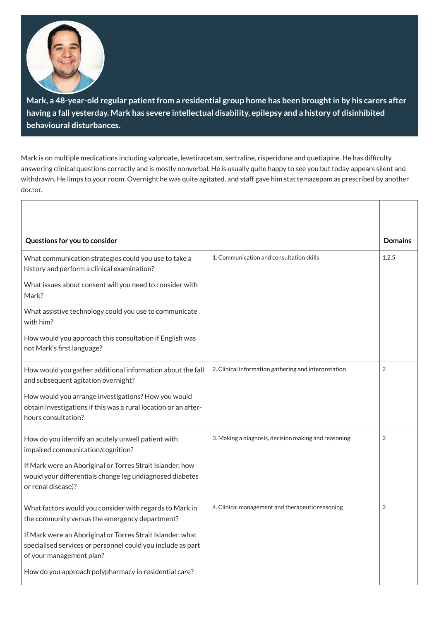

**Mark, a 48-year-old regular patientfrom a residential group home has been broughtin by his carers after having a fall yesterday. Mark has severe intellectual disability, epilepsy and a history of disinhibited behavioural disturbances.**

Mark is on multiple medications including valproate, levetiracetam, sertraline, risperidone and quetiapine. He has difficulty answering clinical questions correctly and is mostly nonverbal. He is usually quite happy to see you but today appears silent and withdrawn. He limps to your room. Overnight he was quite agitated, and staff gave him stat temazepam as prescribed by another doctor.

| Questions for you to consider                                                                                                                         |                                                      | <b>Domains</b> |
|-------------------------------------------------------------------------------------------------------------------------------------------------------|------------------------------------------------------|----------------|
| What communication strategies could you use to take a<br>history and perform a clinical examination?                                                  | 1. Communication and consultation skills             | 1,2,5          |
| What issues about consent will you need to consider with<br>Mark?                                                                                     |                                                      |                |
| What assistive technology could you use to communicate<br>with him?                                                                                   |                                                      |                |
| How would you approach this consultation if English was<br>not Mark's first language?                                                                 |                                                      |                |
| How would you gather additional information about the fall<br>and subsequent agitation overnight?                                                     | 2. Clinical information gathering and interpretation | $\overline{2}$ |
| How would you arrange investigations? How you would<br>obtain investigations if this was a rural location or an after-<br>hours consultation?         |                                                      |                |
| How do you identify an acutely unwell patient with<br>impaired communication/cognition?                                                               | 3. Making a diagnosis, decision making and reasoning | $\overline{2}$ |
| If Mark were an Aboriginal or Torres Strait Islander, how<br>would your differentials change (eg undiagnosed diabetes<br>or renal disease)?           |                                                      |                |
| What factors would you consider with regards to Mark in<br>the community versus the emergency department?                                             | 4. Clinical management and therapeutic reasoning     | $\overline{2}$ |
| If Mark were an Aboriginal or Torres Strait Islander, what<br>specialised services or personnel could you include as part<br>of your management plan? |                                                      |                |
| How do you approach polypharmacy in residential care?                                                                                                 |                                                      |                |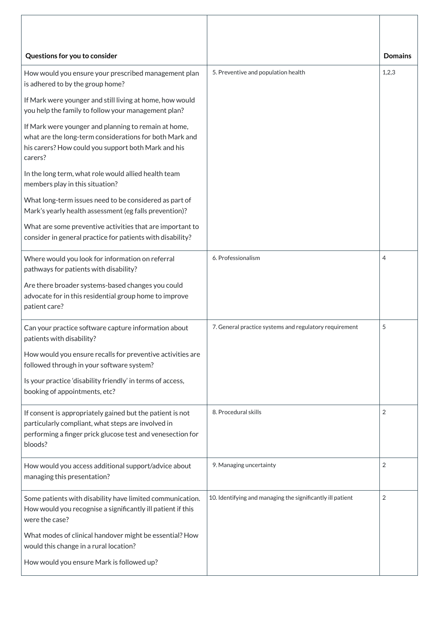| Questions for you to consider                                                                                                                                                            |                                                            | <b>Domains</b> |
|------------------------------------------------------------------------------------------------------------------------------------------------------------------------------------------|------------------------------------------------------------|----------------|
| How would you ensure your prescribed management plan<br>is adhered to by the group home?                                                                                                 | 5. Preventive and population health                        | 1,2,3          |
| If Mark were younger and still living at home, how would<br>you help the family to follow your management plan?                                                                          |                                                            |                |
| If Mark were younger and planning to remain at home,<br>what are the long-term considerations for both Mark and<br>his carers? How could you support both Mark and his<br>carers?        |                                                            |                |
| In the long term, what role would allied health team<br>members play in this situation?                                                                                                  |                                                            |                |
| What long-term issues need to be considered as part of<br>Mark's yearly health assessment (eg falls prevention)?                                                                         |                                                            |                |
| What are some preventive activities that are important to<br>consider in general practice for patients with disability?                                                                  |                                                            |                |
| Where would you look for information on referral<br>pathways for patients with disability?                                                                                               | 6. Professionalism                                         | 4              |
| Are there broader systems-based changes you could<br>advocate for in this residential group home to improve<br>patient care?                                                             |                                                            |                |
| Can your practice software capture information about<br>patients with disability?                                                                                                        | 7. General practice systems and regulatory requirement     | 5              |
| How would you ensure recalls for preventive activities are<br>followed through in your software system?                                                                                  |                                                            |                |
| Is your practice 'disability friendly' in terms of access,<br>booking of appointments, etc?                                                                                              |                                                            |                |
| If consent is appropriately gained but the patient is not<br>particularly compliant, what steps are involved in<br>performing a finger prick glucose test and venesection for<br>bloods? | 8. Procedural skills                                       | 2              |
| How would you access additional support/advice about<br>managing this presentation?                                                                                                      | 9. Managing uncertainty                                    | 2              |
| Some patients with disability have limited communication.<br>How would you recognise a significantly ill patient if this<br>were the case?                                               | 10. Identifying and managing the significantly ill patient | $\overline{2}$ |
| What modes of clinical handover might be essential? How<br>would this change in a rural location?                                                                                        |                                                            |                |
| How would you ensure Mark is followed up?                                                                                                                                                |                                                            |                |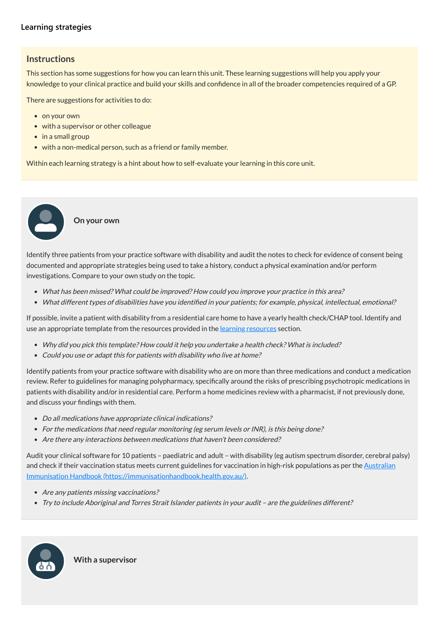# **[Learning strategies](javascript:void(0))**

# **Instructions**

This section has some suggestions for how you can learn this unit. These learning suggestions will help you apply your knowledge to your clinical practice and build your skills and confidence in all of the broader competencies required of a GP.

There are suggestions for activities to do:

- on your own
- with a supervisor or other colleague
- in a small group
- with a non-medical person, such as a friend or family member.

Within each learning strategy is a hint about how to self-evaluate your learning in this core unit.

If possible, invite a patient with disability from a residential care home to have a yearly health check/CHAP tool. Identify and use an appropriate template from the [resources](#page-9-0) provided in the <u>learning resources</u> section.

**On your own**

Identify three patients from your practice software with disability and audit the notes to check for evidence of consent being documented and appropriate strategies being used to take a history, conduct a physical examination and/or perform investigations. Compare to your own study on the topic.

Identify patients from your practice software with disability who are on more than three medications and conduct a medication review. Refer to guidelines for managing polypharmacy, specifically around the risks of prescribing psychotropic medications in patients with disability and/or in residential care. Perform a home medicines review with a pharmacist, if not previously done, and discuss your findings with them. entify the cument<br>
estigat<br>
Wha<br>
Wha<br>
Why<br>
Coul<br>
e an app<br>
Why<br>
Coul<br>
e an app<br>
Why<br>
Coul<br>
e an app<br>
Coul<br>
e Miscus<br>
Po a<br>
For t<br>
Are t<br>
dit youl<br>
dicus<br>
Are t<br>
Try t<br>
Try t<br>
Try t<br>
Coul<br>
dicus<br>
Do a<br>
For t<br>
Try t<br>
Coul<br>
d

- What has been missed? What could be improved? How could you improve your practice in this area?
- What different types of disabilities have you identified in your patients; for example, physical, intellectual, emotional?

- Are any patients missing vaccinations?
- Try to include Aboriginal and Torres Strait Islander patients in your audit are the guidelines different?
- Why did you pick this template? How could it help you undertake <sup>a</sup> health check? What is included?
- Could you use or adapt this for patients with disability who live at home?

- Do all medications have appropriate clinical indications?
- For the medications that need regular monitoring (eg serum levels or INR), is this being done?
- Are there any interactions between medications that haven't been considered?

Audit your clinical software for 10 patients – paediatric and adult – with disability (eg autism spectrum disorder, cerebral palsy) and check if their vaccination status meets current guidelines for vaccination in high-risk populations as per the Australian Immunisation Handbook [\(https://immunisationhandbook.health.gov.au/\).](https://immunisationhandbook.health.gov.au/)



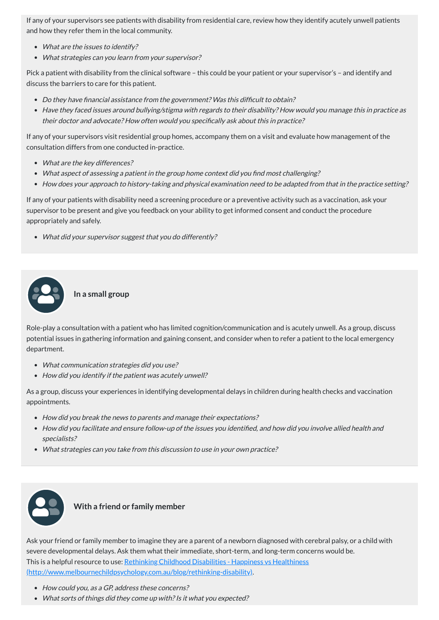If any of your supervisors see patients with disability from residential care, review how they identify acutely unwell patients and how they refer them in the local community.

- What are the issues to identify?
- What strategies can you learn from your supervisor?

Pick a patient with disability from the clinical software – this could be your patient or your supervisor's – and identify and discuss the barriers to care for this patient.

- Do they have financial assistance from the government? Was this difficult to obtain?
- Have they faced issues around bullying/stigma with regards to their disability? How would you manage this in practice as their doctor and advocate? How often would you specifically ask about this in practice?

If any of your supervisors visit residential group homes, accompany them on a visit and evaluate how management of the consultation differs from one conducted in-practice.

- What communication strategies did you use?
- How did you identify if the patient was acutely unwell?
- What are the key differences?
- What aspect of assessing <sup>a</sup> patient in the group home context did you find most challenging?
- How does your approach to history-taking and physical examination need to be adapted from that in the practice setting?

- How did you break the news to parents and manage their expectations?
- How did you facilitate and ensure follow-up of the issues you identified, and how did you involve allied health and specialists?
- What strategies can you take from this discussion to use in your own practice?



If any of your patients with disability need a screening procedure or a preventive activity such as a vaccination, ask your supervisor to be present and give you feedback on your ability to get informed consent and conduct the procedure appropriately and safely.

What did your supervisor suggest that you do differently?

# **In a small group**

Role-play a consultation with a patient who has limited cognition/communication and is acutely unwell. As a group, discuss potential issues in gathering information and gaining consent, and consider when to refer a patient to the local emergency department.

As a group, discuss your experiences in identifying developmental delays in children during health checks and vaccination appointments.

# **With a friend or family member**

Ask your friend or family member to imagine they are a parent of a newborn diagnosed with cerebral palsy, or a child with severe developmental delays. Ask them what their immediate, short-term, and long-term concerns would be. This is a helpful resource to use: Rethinking Childhood Disabilities - Happiness vs Healthiness [\(http://www.melbournechildpsychology.com.au/blog/rethinking-disability\).](http://www.melbournechildpsychology.com.au/blog/rethinking-disability)

- How could you, as a GP, address these concerns?
- What sorts of things did they come up with? Is it what you expected?

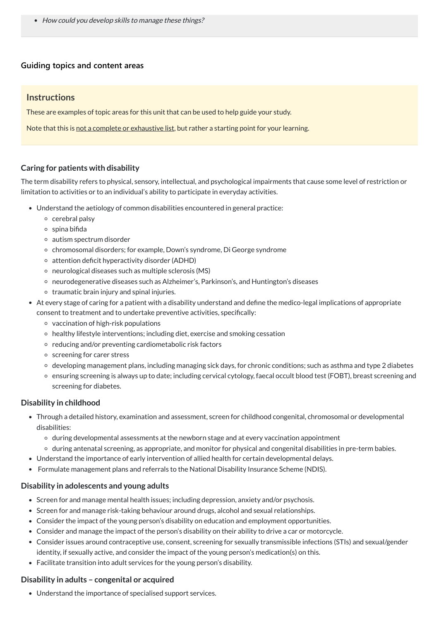• How could you develop skills to manage these things?

#### **[Guiding topics and content areas](javascript:void(0))**

## **Instructions**

These are examples of topic areas for this unit that can be used to help guide your study.

Note that this is not a complete or exhaustive list, but rather a starting point for your learning.

## <span id="page-8-0"></span>**Caring for patients with disability**

The term disability refers to physical, sensory, intellectual, and psychological impairments that cause some level of restriction or limitation to activities or to an individual's ability to participate in everyday activities.

- Understand the aetiology of common disabilities encountered in general practice:
	- $\circ$  cerebral palsy
	- $\circ$  spina bifida
	- autism spectrum disorder
	- chromosomal disorders; for example, Down's syndrome, Di George syndrome
	- $\circ$  attention deficit hyperactivity disorder (ADHD)
	- $\circ$  neurological diseases such as multiple sclerosis (MS)
	- neurodegenerative diseases such as Alzheimer's, Parkinson's, and Huntington's diseases
	- $\circ$  traumatic brain injury and spinal injuries.
- At every stage of caring for a patient with a disability understand and define the medico-legal implications of appropriate consent to treatment and to undertake preventive activities, specifically:
	- vaccination of high-risk populations
	- healthy lifestyle interventions; including diet, exercise and smoking cessation
	- $\circ$  reducing and/or preventing cardiometabolic risk factors
	- o screening for carer stress
	- developing management plans, including managing sick days, for chronic conditions; such as asthma and type 2 diabetes
	- ensuring screening is always up to date; including cervical cytology, faecal occult blood test (FOBT), breast screening and screening for diabetes.

- Screen for and manage mental health issues; including depression, anxiety and/or psychosis.
- Screen for and manage risk-taking behaviour around drugs, alcohol and sexual relationships.
- Consider the impact of the young person's disability on education and employment opportunities.
- Consider and manage the impact of the person's disability on their ability to drive a car or motorcycle.
- Consider issues around contraceptive use, consent, screening for sexually transmissible infections (STIs) and sexual/gender identity, if sexually active, and consider the impact of the young person's medication(s) on this.
- Facilitate transition into adult services for the young person's disability.

## **Disability in childhood**

- Through a detailed history, examination and assessment, screen for childhood congenital, chromosomal or developmental disabilities:
	- o during developmental assessments at the newborn stage and at every vaccination appointment
	- during antenatal screening, as appropriate, and monitor for physical and congenital disabilities in pre-term babies.
- Understand the importance of early intervention of allied health for certain developmental delays.
- Formulate management plans and referrals to the National Disability Insurance Scheme (NDIS).

#### **Disability in adolescents and young adults**

# **Disability in adults – congenital or acquired**

Understand the importance of specialised support services.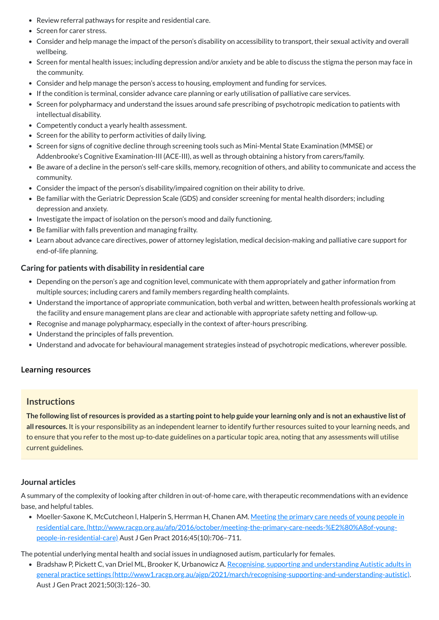- Review referral pathways for respite and residential care.
- Screen for carer stress.
- Consider and help manage the impact of the person's disability on accessibility to transport, their sexual activity and overall wellbeing.
- Screen for mental health issues; including depression and/or anxiety and be able to discuss the stigma the person may face in the community.
- Consider and help manage the person's access to housing, employment and funding for services.
- If the condition is terminal, consider advance care planning or early utilisation of palliative care services.
- Screen for polypharmacy and understand the issues around safe prescribing of psychotropic medication to patients with intellectual disability.
- Competently conduct a yearly health assessment.
- Screen for the ability to perform activities of daily living.
- Screen for signs of cognitive decline through screening tools such as Mini-Mental State Examination (MMSE) or Addenbrooke's Cognitive Examination-III (ACE-III), as well as through obtaining a history from carers/family.
- Be aware of a decline in the person's self-care skills, memory, recognition of others, and ability to communicate and access the community.
- Consider the impact of the person's disability/impaired cognition on their ability to drive.
- Be familiar with the Geriatric Depression Scale (GDS) and consider screening for mental health disorders; including depression and anxiety.
- Investigate the impact of isolation on the person's mood and daily functioning.
- Be familiar with falls prevention and managing frailty.
- Learn about advance care directives, power of attorney legislation, medical decision-making and palliative care support for end-of-life planning.

The following list of resources is provided as a starting point to help guide your learning only and is not an exhaustive list of **all resources.** It is your responsibility as an independent learner to identify further resources suited to your learning needs, and to ensure that you refer to the most up-to-date guidelines on a particular topic area, noting that any assessments will utilise current guidelines.

• Moeller-Saxone K, McCutcheon I, Halperin S, Herrman H, Chanen AM. Meeting the primary care needs of young people in residential care. [\(http://www.racgp.org.au/afp/2016/october/meeting-the-primary-care-needs-%E2%80%A8of-young](http://www.racgp.org.au/afp/2016/october/meeting-the-primary-care-needs-%E2%80%A8of-young-people-in-residential-care)people-in-residential-care) Aust J Gen Pract 2016;45(10):706–711.

## **Caring for patients with disability in residential care**

• Bradshaw P, Pickett C, van Driel ML, Brooker K, Urbanowicz A. Recognising, supporting and understanding Autistic adults in general practice settings [\(http://www1.racgp.org.au/ajgp/2021/march/recognising-supporting-and-understanding-autistic\).](http://www1.racgp.org.au/ajgp/2021/march/recognising-supporting-and-understanding-autistic) Aust J Gen Pract 2021;50(3):126–30.

- Depending on the person's age and cognition level, communicate with them appropriately and gather information from multiple sources; including carers and family members regarding health complaints.
- Understand the importance of appropriate communication, both verbal and written, between health professionals working at the facility and ensure management plans are clear and actionable with appropriate safety netting and follow-up.
- Recognise and manage polypharmacy, especially in the context of after-hours prescribing.
- Understand the principles of falls prevention.
- Understand and advocate for behavioural management strategies instead of psychotropic medications, wherever possible.

## **[Learning resources](javascript:void(0))**

## **Instructions**

#### <span id="page-9-0"></span>**Journal articles**

A summary of the complexity of looking after children in out-of-home care, with therapeutic recommendations with an evidence base, and helpful tables.

The potential underlying mental health and social issues in undiagnosed autism, particularly for females.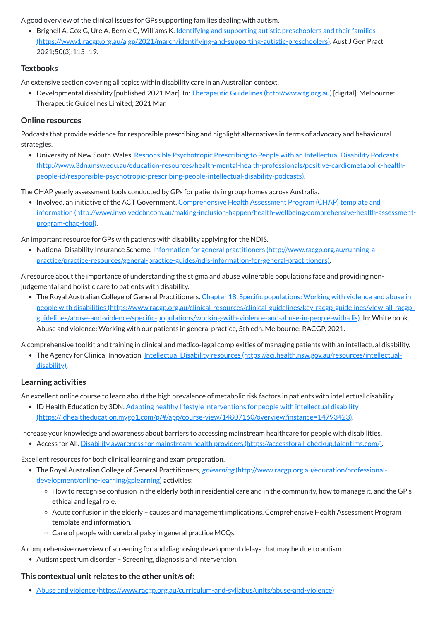A good overview of the clinical issues for GPs supporting families dealing with autism.

• Brignell A, Cox G, Ure A, Bernie C, Williams K. Identifying and supporting autistic preschoolers and their families [\(https://www1.racgp.org.au/ajgp/2021/march/identifying-and-supporting-autistic-preschoolers\).](https://www1.racgp.org.au/ajgp/2021/march/identifying-and-supporting-autistic-preschoolers) Aust J Gen Pract 2021;50(3):115–19.

• Developmental disability [published 2021 Mar]. In: Therapeutic Guidelines [\(http://www.tg.org.au\)](http://www.tg.org.au/) [digital]. Melbourne: Therapeutic Guidelines Limited; 2021 Mar.

## **Textbooks**

An extensive section covering all topics within disability care in an Australian context.

# **Online resources**

Podcasts that provide evidence for responsible prescribing and highlight alternatives in terms of advocacy and behavioural strategies.

• Involved, an initiative of the ACT Government. Comprehensive Health Assessment Program (CHAP) template and information [\(http://www.involvedcbr.com.au/making-inclusion-happen/health-wellbeing/comprehensive-health-assessment](http://www.involvedcbr.com.au/making-inclusion-happen/health-wellbeing/comprehensive-health-assessment-program-chap-tool)program-chap-tool).

• National Disability Insurance Scheme. Information for general practitioners (http://www.racgp.org.au/running-a[practice/practice-resources/general-practice-guides/ndis-information-for-general-practitioners\).](http://www.racgp.org.au/running-a-practice/practice-resources/general-practice-guides/ndis-information-for-general-practitioners)

University of New South Wales. Responsible Psychotropic Prescribing to People with an Intellectual Disability Podcasts [\(http://www.3dn.unsw.edu.au/education-resources/health-mental-health-professionals/positive-cardiometabolic-health](http://www.3dn.unsw.edu.au/education-resources/health-mental-health-professionals/positive-cardiometabolic-health-people-id/responsible-psychotropic-prescribing-people-intellectual-disability-podcasts)people-id/responsible-psychotropic-prescribing-people-intellectual-disability-podcasts).

The CHAP yearly assessment tools conducted by GPs for patients in group homes across Australia.

• The Royal Australian College of General Practitioners. Chapter 18. Specific populations: Working with violence and abuse in people with disabilities (https://www.racgp.org.au/clinical-resources/clinical-guidelines/key-racgp-guidelines/view-all-racgp[guidelines/abuse-and-violence/specific-populations/working-with-violence-and-abuse-in-people-with-dis\).](https://www.racgp.org.au/clinical-resources/clinical-guidelines/key-racgp-guidelines/view-all-racgp-guidelines/abuse-and-violence/specific-populations/working-with-violence-and-abuse-in-people-with-dis) In: White book. Abuse and violence: Working with our patients in general practice, 5th edn. Melbourne: RACGP, 2021.

An important resource for GPs with patients with disability applying for the NDIS.

• ID Health Education by 3DN. Adapting healthy lifestyle interventions for people with intellectual disability [\(https://idhealtheducation.mygo1.com/p/#/app/course-view/14807160/overview?instance=14793423\).](https://idhealtheducation.mygo1.com/p/#/app/course-view/14807160/overview?instance=14793423)

A resource about the importance of understanding the stigma and abuse vulnerable populations face and providing nonjudgemental and holistic care to patients with disability.

A comprehensive toolkit and training in clinical and medico-legal complexities of managing patients with an intellectual disability.

• The Agency for Clinical Innovation. Intellectual Disability resources [\(https://aci.health.nsw.gov.au/resources/intellectual](https://aci.health.nsw.gov.au/resources/intellectual-disability)disability).

# **Learning activities**

An excellent online course to learn about the high prevalence of metabolic risk factors in patients with intellectual disability.

Increase your knowledge and awareness about barriers to accessing mainstream healthcare for people with disabilities.

Access for All. Disability awareness for mainstream health providers [\(https://accessforall-checkup.talentlms.com/\).](https://accessforall-checkup.talentlms.com/)

Excellent resources for both clinical learning and exam preparation.

- The Royal Australian College of General Practitioners, *gplearning [\(http://www.racgp.org.au/education/professional](http://www.racgp.org.au/education/professional-development/online-learning/gplearning)*development/online-learning/gplearning) activities:
	- How to recognise confusion in the elderly both in residential care and in the community, how to manage it, and the GP's ethical and legal role.
	- Acute confusion in the elderly causes and management implications. Comprehensive Health Assessment Program template and information.
	- Care of people with cerebral palsy in general practice MCQs.

A comprehensive overview of screening for and diagnosing development delays that may be due to autism.

Autism spectrum disorder – Screening, diagnosis and intervention.

#### **This contextual unit relates to the other unit/s of:**

Abuse and violence [\(https://www.racgp.org.au/curriculum-and-syllabus/units/abuse-and-violence\)](https://www.racgp.org.au/curriculum-and-syllabus/units/abuse-and-violence)